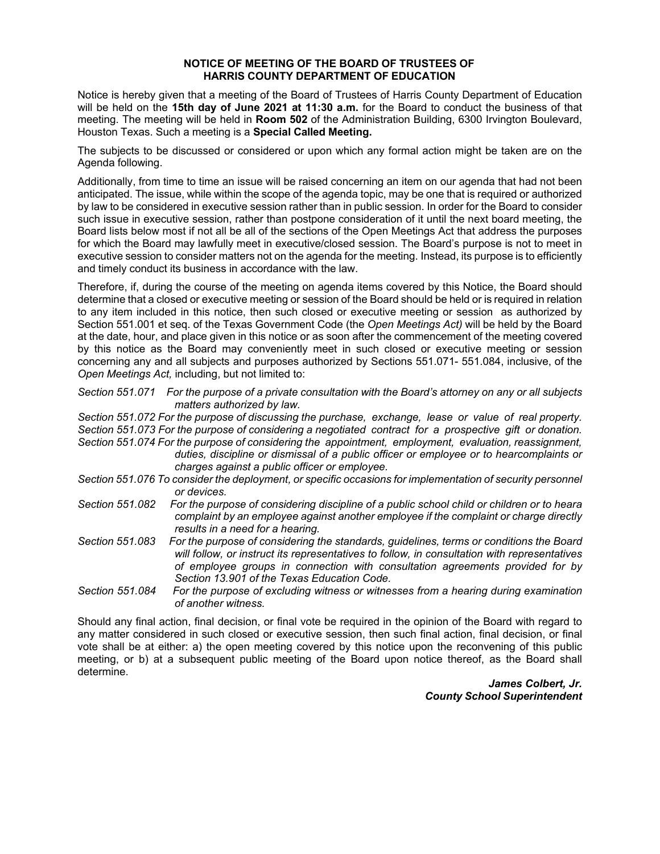## **NOTICE OF MEETING OF THE BOARD OF TRUSTEES OF HARRIS COUNTY DEPARTMENT OF EDUCATION**

 Houston Texas. Such a meeting is a **Special Called Meeting.**  Notice is hereby given that a meeting of the Board of Trustees of Harris County Department of Education will be held on the **15th day of June 2021 at 11:30 a.m.** for the Board to conduct the business of that meeting. The meeting will be held in **Room 502** of the Administration Building, 6300 Irvington Boulevard,

The subjects to be discussed or considered or upon which any formal action might be taken are on the Agenda following.

Additionally, from time to time an issue will be raised concerning an item on our agenda that had not been anticipated. The issue, while within the scope of the agenda topic, may be one that is required or authorized by law to be considered in executive session rather than in public session. In order for the Board to consider such issue in executive session, rather than postpone consideration of it until the next board meeting, the Board lists below most if not all be all of the sections of the Open Meetings Act that address the purposes for which the Board may lawfully meet in executive/closed session. The Board's purpose is not to meet in executive session to consider matters not on the agenda for the meeting. Instead, its purpose is to efficiently and timely conduct its business in accordance with the law.

 to any item included in this notice, then such closed or executive meeting or session as authorized by Therefore, if, during the course of the meeting on agenda items covered by this Notice, the Board should determine that a closed or executive meeting or session of the Board should be held or is required in relation Section 551.001 et seq. of the Texas Government Code (the *Open Meetings Act)* will be held by the Board at the date, hour, and place given in this notice or as soon after the commencement of the meeting covered by this notice as the Board may conveniently meet in such closed or executive meeting or session concerning any and all subjects and purposes authorized by Sections 551.071- 551.084, inclusive, of the *Open Meetings Act,* including, but not limited to:

*Section 551.071 For the purpose of a private consultation with the Board's attorney on any or all subjects matters authorized by law.* 

*Section 551.072 For the purpose of discussing the purchase, exchange, lease or value of real property. Section 551.073 For the purpose of considering a negotiated contract for a prospective gift or donation. Section 551.074 For the purpose of considering the appointment, employment, evaluation, reassignment,* 

*duties, discipline or dismissal of a public officer or employee or to hearcomplaints or charges against a public officer or employee.* 

- *Section 551.076 To consider the deployment, or specific occasions for implementation of security personnel or devices.*
- *Section 551.082 For the purpose of considering discipline of a public school child or children or to heara complaint by an employee against another employee if the complaint or charge directly results in a need for a hearing.*
- *of employee groups in connection with consultation agreements provided for by Section 551.083 For the purpose of considering the standards, guidelines, terms or conditions the Board will follow, or instruct its representatives to follow, in consultation with representatives Section 13.901 of the Texas Education Code.*
- *Section 551.084 For the purpose of excluding witness or witnesses from a hearing during examination of another witness.*

Should any final action, final decision, or final vote be required in the opinion of the Board with regard to any matter considered in such closed or executive session, then such final action, final decision, or final vote shall be at either: a) the open meeting covered by this notice upon the reconvening of this public meeting, or b) at a subsequent public meeting of the Board upon notice thereof, as the Board shall determine.

*James Colbert, Jr. County School Superintendent*